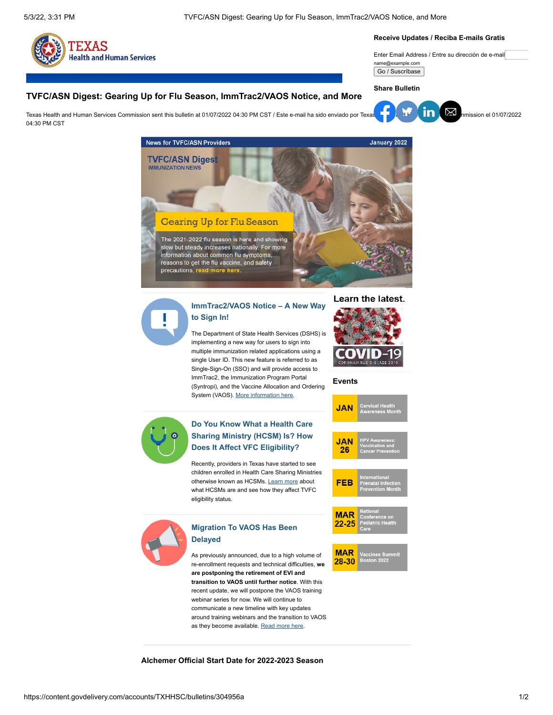04:30 PM CST



#### **Receive Updates / Reciba E-mails Gratis**

Enter Email Address / Entre su dirección de e-mail name@example.com

Go / Suscríbase

**Share Bulletin**

### **TVFC/ASN Digest: Gearing Up for Flu Season, ImmTrac2/VAOS Notice, and More**

Texa[s Health](https://www.facebook.com/sharer.php?u=https://content.govdelivery.com/accounts/TXHHSC/bulletins/304956a) [and Hum](https://twitter.com/intent/tweet?url=https://content.govdelivery.com/accounts/TXHHSC/bulletins/304956a%2F&text=TVFC/ASN%20Digest:%20Gearing%20Up%20for%20Flu%20Season,%20ImmTrac2/VAOS%20Notice,%20and%20More)[an Serv](https://www.linkedin.com/shareArticle?mini=true&url=https://content.govdelivery.com/accounts/TXHHSC/bulletins/304956a%2F&source=govDelivery)[ices Com](mailto:?subject=TVFC/ASN%20Digest:%20Gearing%20Up%20for%20Flu%20Season,%20ImmTrac2/VAOS%20Notice,%20and%20More&body=https://content.govdelivery.com/accounts/TXHHSC/bulletins/304956a)mission sent this bulletin at 01/07/2022 04:30 PM CST / Este e-mail ha sido enviado por Texas Health and Human Services Commission sent this bulletin at 01/07/2022 04:30 PM CST / Este e-m







# **[ImmTrac2/VAOS Notice – A New Way](http://www.dshs.texas.gov/immunize/Immunization-News/TVFC-ASN-Digest/New-Single-Sign-On-Feature/) to Sign In!**

The Department of State Health Services (DSHS) is implementing a new way for users to sign into multiple immunization related applications using a single User ID. This new feature is referred to as Single-Sign-On (SSO) and will provide access to ImmTrac2, the Immunization Program Portal (Syntropi), and the Vaccine Allocation and Ordering System (VAOS). [More information here](http://www.dshs.texas.gov/immunize/Immunization-News/TVFC-ASN-Digest/New-Single-Sign-On-Feature/).



### **Events**

**JAN** 



# **[Do You Know What a Health Care](http://www.dshs.texas.gov/immunize/Immunization-News/TVFC-ASN-Digest/Do-You-Know-What-a-Health-Care-Sharing-Ministry-(HCSM)-Is-/) Sharing Ministry (HCSM) Is? How Does It Affect VFC Eligibility?**

Recently, providers in Texas have started to see children enrolled in Health Care Sharing Ministries otherwise known as HCSMs. [Learn more](http://www.dshs.texas.gov/immunize/Immunization-News/TVFC-ASN-Digest/Do-You-Know-What-a-Health-Care-Sharing-Ministry-(HCSM)-Is-/) about what HCSMs are and see how they affect TVFC eligibility status.



# **[Migration To VAOS Has Been](http://www.dshs.texas.gov/immunize/Immunization-News/TVFC-ASN-Digest/The-Migration-To-VAOS-Has-Been-Delayed/) Delayed**

As previously announced, due to a high volume of re-enrollment requests and technical difficulties, **we are postponing the retirement of EVI and transition to VAOS until further notice**. With this recent update, we will postpone the VAOS training webinar series for now. We will continue to communicate a new timeline with key updates around training webinars and the transition to VAOS as they become available. [Read more here.](http://www.dshs.texas.gov/immunize/Immunization-News/TVFC-ASN-Digest/The-Migration-To-VAOS-Has-Been-Delayed/)



**MAR** 28-30

**Alchemer Official Start Date for 2022-2023 Season**